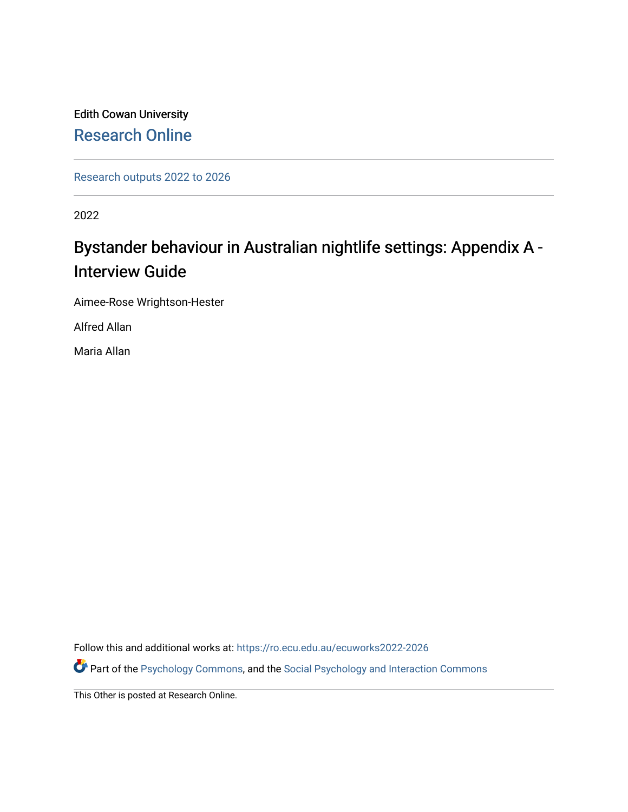Edith Cowan University [Research Online](https://ro.ecu.edu.au/) 

[Research outputs 2022 to 2026](https://ro.ecu.edu.au/ecuworks2022-2026) 

2022

## Bystander behaviour in Australian nightlife settings: Appendix A - Interview Guide

Aimee-Rose Wrightson-Hester

Alfred Allan

Maria Allan

Follow this and additional works at: [https://ro.ecu.edu.au/ecuworks2022-2026](https://ro.ecu.edu.au/ecuworks2022-2026?utm_source=ro.ecu.edu.au%2Fecuworks2022-2026%2F344&utm_medium=PDF&utm_campaign=PDFCoverPages)

Part of the [Psychology Commons,](http://network.bepress.com/hgg/discipline/404?utm_source=ro.ecu.edu.au%2Fecuworks2022-2026%2F344&utm_medium=PDF&utm_campaign=PDFCoverPages) and the [Social Psychology and Interaction Commons](http://network.bepress.com/hgg/discipline/430?utm_source=ro.ecu.edu.au%2Fecuworks2022-2026%2F344&utm_medium=PDF&utm_campaign=PDFCoverPages)

This Other is posted at Research Online.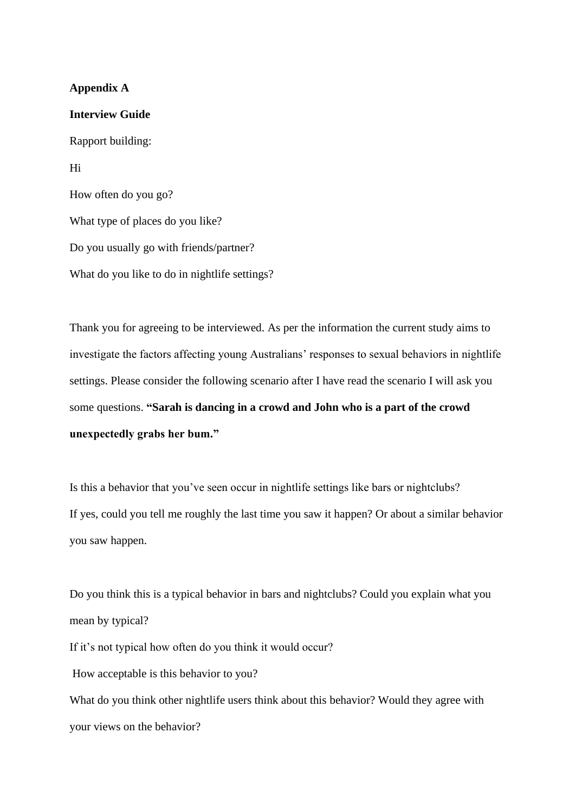## **Appendix A**

**Interview Guide** Rapport building: Hi How often do you go? What type of places do you like? Do you usually go with friends/partner? What do you like to do in nightlife settings?

your views on the behavior?

Thank you for agreeing to be interviewed. As per the information the current study aims to investigate the factors affecting young Australians' responses to sexual behaviors in nightlife settings. Please consider the following scenario after I have read the scenario I will ask you some questions. **"Sarah is dancing in a crowd and John who is a part of the crowd unexpectedly grabs her bum."**

Is this a behavior that you've seen occur in nightlife settings like bars or nightclubs? If yes, could you tell me roughly the last time you saw it happen? Or about a similar behavior you saw happen.

Do you think this is a typical behavior in bars and nightclubs? Could you explain what you mean by typical? If it's not typical how often do you think it would occur? How acceptable is this behavior to you? What do you think other nightlife users think about this behavior? Would they agree with